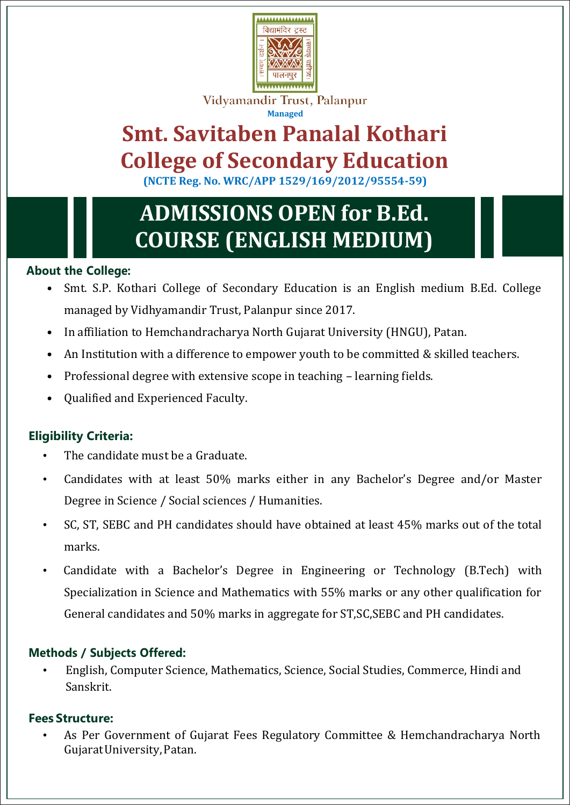

Vidyamandir Trust, Palanpur **Managed**

# **Smt. Savitaben Panalal Kothari College of Secondary Education**

**(NCTE Reg. No. WRC/APP 1529/169/2012/95554-59)**

# **ADMISSIONS OPEN for B.Ed. COURSE (ENGLISH MEDIUM)**

### **About the College:**

- Smt. S.P. Kothari College of Secondary Education is an English medium B.Ed. College managed by Vidhyamandir Trust, Palanpur since 2017.
- In affiliation to Hemchandracharya North Gujarat University (HNGU), Patan.
- An Institution with a difference to empower youth to be committed & skilled teachers.
- Professional degree with extensive scope in teaching learning fields.
- Qualified and Experienced Faculty.

## **Eligibility Criteria:**

- The candidate must be a Graduate.
- Candidates with at least 50% marks either in any Bachelor's Degree and/or Master Degree in Science / Social sciences / Humanities.
- SC, ST, SEBC and PH candidates should have obtained at least 45% marks out of the total marks.
- Candidate with a Bachelor's Degree in Engineering or Technology (B.Tech) with Specialization in Science and Mathematics with 55% marks or any other qualification for General candidates and 50% marks in aggregate for ST,SC,SEBC and PH candidates.

## **Methods / Subjects Offered:**

• English, Computer Science, Mathematics, Science, Social Studies, Commerce, Hindi and Sanskrit.

### **Fees Structure:**

• As Per Government of Gujarat Fees Regulatory Committee & Hemchandracharya North GujaratUniversity,Patan.